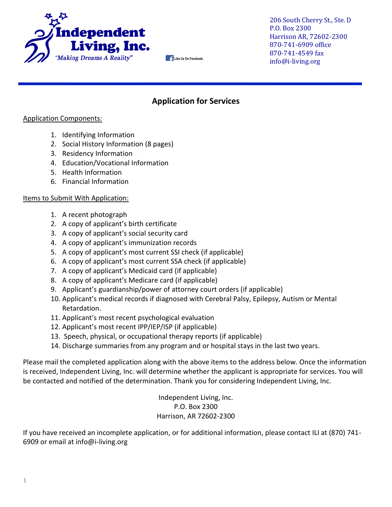

206 South Cherry St., Ste. D P.O. Box 2300 Harrison AR, 72602-2300 870-741-6909 office 870-741-4549 fax info@i-living.org

### **Application for Services**

**Like Us On Facebook.**

#### Application Components:

- 1. Identifying Information
- 2. Social History Information (8 pages)
- 3. Residency Information
- 4. Education/Vocational Information
- 5. Health Information
- 6. Financial Information

### Items to Submit With Application:

- 1. A recent photograph
- 2. A copy of applicant's birth certificate
- 3. A copy of applicant's social security card
- 4. A copy of applicant's immunization records
- 5. A copy of applicant's most current SSI check (if applicable)
- 6. A copy of applicant's most current SSA check (if applicable)
- 7. A copy of applicant's Medicaid card (if applicable)
- 8. A copy of applicant's Medicare card (if applicable)
- 9. Applicant's guardianship/power of attorney court orders (if applicable)
- 10. Applicant's medical records if diagnosed with Cerebral Palsy, Epilepsy, Autism or Mental Retardation.
- 11. Applicant's most recent psychological evaluation
- 12. Applicant's most recent IPP/IEP/ISP (if applicable)
- 13. Speech, physical, or occupational therapy reports (if applicable)
- 14. Discharge summaries from any program and or hospital stays in the last two years.

Please mail the completed application along with the above items to the address below. Once the information is received, Independent Living, Inc. will determine whether the applicant is appropriate for services. You will be contacted and notified of the determination. Thank you for considering Independent Living, Inc.

> Independent Living, Inc. P.O. Box 2300 Harrison, AR 72602-2300

If you have received an incomplete application, or for additional information, please contact ILI at (870) 741- 6909 or email at info@i-living.org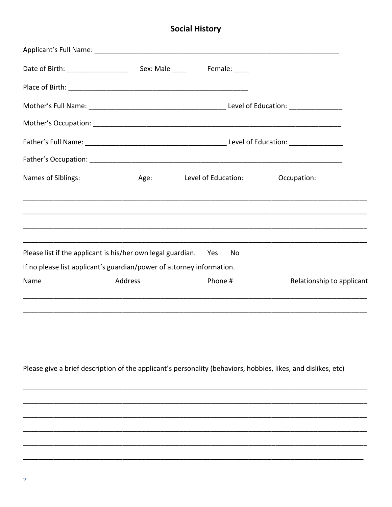# **Social History**

| Names of Siblings:                                                                                                                       |                | Age: Level of Education: | Occupation:               |
|------------------------------------------------------------------------------------------------------------------------------------------|----------------|--------------------------|---------------------------|
|                                                                                                                                          |                |                          |                           |
| Please list if the applicant is his/her own legal guardian. Yes<br>If no please list applicant's guardian/power of attorney information. |                | No                       |                           |
|                                                                                                                                          |                |                          |                           |
| Name                                                                                                                                     | <b>Address</b> | Phone #                  | Relationship to applicant |
|                                                                                                                                          |                |                          |                           |

Please give a brief description of the applicant's personality (behaviors, hobbies, likes, and dislikes, etc)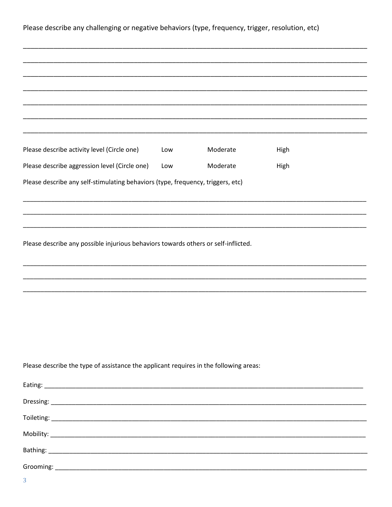Please describe any challenging or negative behaviors (type, frequency, trigger, resolution, etc)

| Please describe activity level (Circle one)                                           | Low | Moderate | High |
|---------------------------------------------------------------------------------------|-----|----------|------|
| Please describe aggression level (Circle one)                                         | Low | Moderate | High |
| Please describe any self-stimulating behaviors (type, frequency, triggers, etc)       |     |          |      |
|                                                                                       |     |          |      |
|                                                                                       |     |          |      |
|                                                                                       |     |          |      |
| Please describe any possible injurious behaviors towards others or self-inflicted.    |     |          |      |
|                                                                                       |     |          |      |
|                                                                                       |     |          |      |
|                                                                                       |     |          |      |
|                                                                                       |     |          |      |
|                                                                                       |     |          |      |
|                                                                                       |     |          |      |
|                                                                                       |     |          |      |
|                                                                                       |     |          |      |
| Please describe the type of assistance the applicant requires in the following areas: |     |          |      |
|                                                                                       |     |          |      |
|                                                                                       |     |          |      |
|                                                                                       |     |          |      |
|                                                                                       |     |          |      |
|                                                                                       |     |          |      |
|                                                                                       |     |          |      |
|                                                                                       |     |          |      |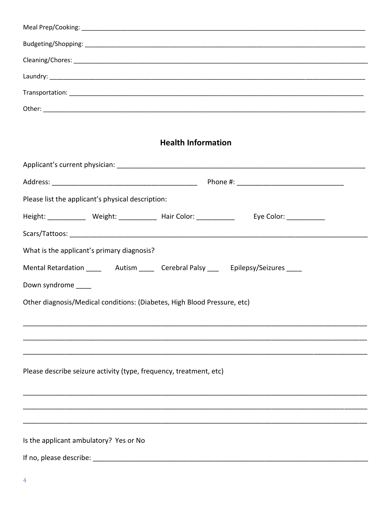## **Health Information**

| Please list the applicant's physical description:                        |                                                                                               |  |  |
|--------------------------------------------------------------------------|-----------------------------------------------------------------------------------------------|--|--|
| Height: ______________ Weight: _____________ Hair Color: ____________    | Eye Color: _____________                                                                      |  |  |
|                                                                          |                                                                                               |  |  |
| What is the applicant's primary diagnosis?                               |                                                                                               |  |  |
|                                                                          | Mental Retardation __________ Autism ________ Cerebral Palsy ________ Epilepsy/Seizures _____ |  |  |
| Down syndrome _____                                                      |                                                                                               |  |  |
| Other diagnosis/Medical conditions: (Diabetes, High Blood Pressure, etc) |                                                                                               |  |  |
|                                                                          |                                                                                               |  |  |
|                                                                          |                                                                                               |  |  |
|                                                                          |                                                                                               |  |  |
| Please describe seizure activity (type, frequency, treatment, etc)       |                                                                                               |  |  |
|                                                                          |                                                                                               |  |  |
|                                                                          |                                                                                               |  |  |
|                                                                          |                                                                                               |  |  |
| Is the applicant ambulatory? Yes or No                                   |                                                                                               |  |  |
|                                                                          |                                                                                               |  |  |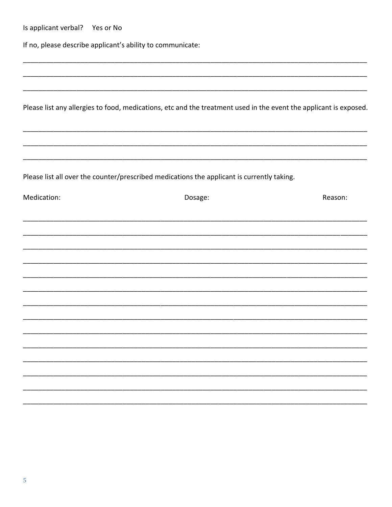| Is applicant verbal? Yes or No |                                                                                                                   |         |
|--------------------------------|-------------------------------------------------------------------------------------------------------------------|---------|
|                                | If no, please describe applicant's ability to communicate:                                                        |         |
|                                |                                                                                                                   |         |
|                                |                                                                                                                   |         |
|                                | Please list any allergies to food, medications, etc and the treatment used in the event the applicant is exposed. |         |
|                                |                                                                                                                   |         |
|                                | Please list all over the counter/prescribed medications the applicant is currently taking.                        |         |
| Medication:                    | Dosage:                                                                                                           | Reason: |
|                                |                                                                                                                   |         |
|                                |                                                                                                                   |         |
|                                |                                                                                                                   |         |
|                                |                                                                                                                   |         |
|                                |                                                                                                                   |         |
|                                |                                                                                                                   |         |
|                                |                                                                                                                   |         |
|                                |                                                                                                                   |         |
|                                |                                                                                                                   |         |
|                                |                                                                                                                   |         |
|                                |                                                                                                                   |         |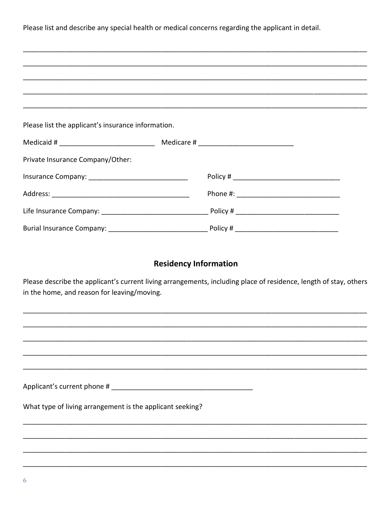Please list and describe any special health or medical concerns regarding the applicant in detail.

| Please list the applicant's insurance information. |  |  |  |  |
|----------------------------------------------------|--|--|--|--|
|                                                    |  |  |  |  |
| Private Insurance Company/Other:                   |  |  |  |  |
|                                                    |  |  |  |  |
|                                                    |  |  |  |  |
|                                                    |  |  |  |  |
|                                                    |  |  |  |  |

## **Residency Information**

Please describe the applicant's current living arrangements, including place of residence, length of stay, others in the home, and reason for leaving/moving.

| What type of living arrangement is the applicant seeking? |  |
|-----------------------------------------------------------|--|
|                                                           |  |
|                                                           |  |
|                                                           |  |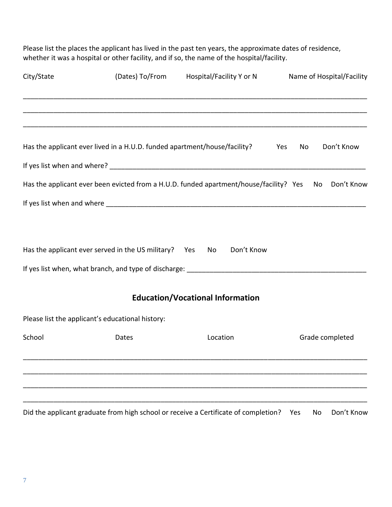Please list the places the applicant has lived in the past ten years, the approximate dates of residence, whether it was a hospital or other facility, and if so, the name of the hospital/facility.

| City/State<br>(Dates) To/From Hospital/Facility Y or N |                                                                           |                                                                                                      | Name of Hospital/Facility |
|--------------------------------------------------------|---------------------------------------------------------------------------|------------------------------------------------------------------------------------------------------|---------------------------|
|                                                        |                                                                           |                                                                                                      |                           |
|                                                        | Has the applicant ever lived in a H.U.D. funded apartment/house/facility? |                                                                                                      | Don't Know<br>No<br>Yes   |
|                                                        |                                                                           |                                                                                                      |                           |
|                                                        |                                                                           | Has the applicant ever been evicted from a H.U.D. funded apartment/house/facility? Yes No Don't Know |                           |
|                                                        |                                                                           |                                                                                                      |                           |
|                                                        | Has the applicant ever served in the US military? Yes No                  | Don't Know                                                                                           |                           |
|                                                        |                                                                           |                                                                                                      |                           |
|                                                        |                                                                           | <b>Education/Vocational Information</b>                                                              |                           |
|                                                        | Please list the applicant's educational history:                          |                                                                                                      |                           |
| School                                                 | Dates                                                                     | Location                                                                                             | Grade completed           |
|                                                        |                                                                           |                                                                                                      |                           |
|                                                        |                                                                           | Did the applicant graduate from high school or receive a Certificate of completion?                  | Don't Know<br>No<br>Yes   |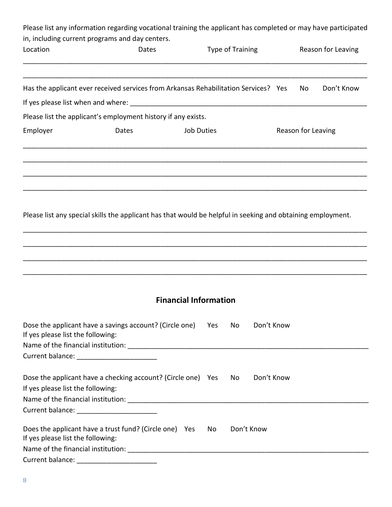| in, including current programs and day centers. | Please list any information regarding vocational training the applicant has completed or may have participated |                   |                  |            |                    |                    |
|-------------------------------------------------|----------------------------------------------------------------------------------------------------------------|-------------------|------------------|------------|--------------------|--------------------|
| Location                                        | Dates                                                                                                          |                   | Type of Training |            |                    | Reason for Leaving |
|                                                 | Has the applicant ever received services from Arkansas Rehabilitation Services? Yes                            |                   |                  |            | No                 | Don't Know         |
|                                                 |                                                                                                                |                   |                  |            |                    |                    |
|                                                 | Please list the applicant's employment history if any exists.                                                  |                   |                  |            |                    |                    |
| Employer                                        | Dates                                                                                                          | <b>Job Duties</b> |                  |            | Reason for Leaving |                    |
|                                                 |                                                                                                                |                   |                  |            |                    |                    |
|                                                 | Please list any special skills the applicant has that would be helpful in seeking and obtaining employment.    |                   |                  |            |                    |                    |
|                                                 |                                                                                                                |                   |                  |            |                    |                    |
|                                                 |                                                                                                                |                   |                  |            |                    |                    |
|                                                 | <b>Financial Information</b>                                                                                   |                   |                  |            |                    |                    |
| If yes please list the following:               | Dose the applicant have a savings account? (Circle one)                                                        | Yes               | No.              | Don't Know |                    |                    |
| Current balance: ________________________       |                                                                                                                |                   |                  |            |                    |                    |
| If yes please list the following:               | Dose the applicant have a checking account? (Circle one) Yes                                                   |                   | No               | Don't Know |                    |                    |
| Current balance: _________________________      |                                                                                                                |                   |                  |            |                    |                    |
| If yes please list the following:               | Does the applicant have a trust fund? (Circle one) Yes                                                         | No                | Don't Know       |            |                    |                    |
|                                                 |                                                                                                                |                   |                  |            |                    |                    |